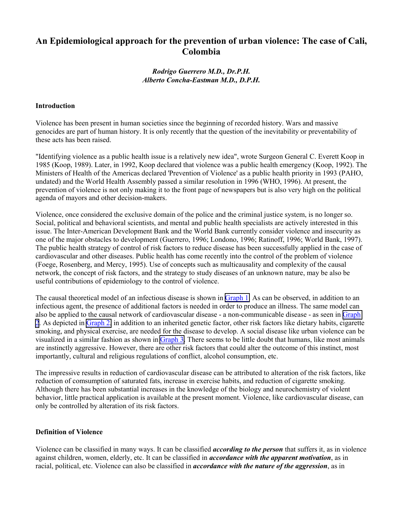# **An Epidemiological approach for the prevention of urban violence: The case of Cali, Colombia**

### *Rodrigo Guerrero M.D., Dr.P.H. Alberto Concha-Eastman M.D., D.P.H.*

### **Introduction**

Violence has been present in human societies since the beginning of recorded history. Wars and massive genocides are part of human history. It is only recently that the question of the inevitability or preventability of these acts has been raised.

"Identifying violence as a public health issue is a relatively new idea", wrote Surgeon General C. Everett Koop in 1985 (Koop, 1989). Later, in 1992, Koop declared that violence was a public health emergency (Koop, 1992). The Ministers of Health of the Americas declared 'Prevention of Violence' as a public health priority in 1993 (PAHO, undated) and the World Health Assembly passed a similar resolution in 1996 (WHO, 1996). At present, the prevention of violence is not only making it to the front page of newspapers but is also very high on the political agenda of mayors and other decision-makers.

Violence, once considered the exclusive domain of the police and the criminal justice system, is no longer so. Social, political and behavioral scientists, and mental and public health specialists are actively interested in this issue. The Inter-American Development Bank and the World Bank currently consider violence and insecurity as one of the major obstacles to development (Guerrero, 1996; Londono, 1996; Ratinoff, 1996; World Bank, 1997). The public health strategy of control of risk factors to reduce disease has been successfully applied in the case of cardiovascular and other diseases. Public health has come recently into the control of the problem of violence (Foege, Rosenberg, and Mercy, 1995). Use of concepts such as multicausality and complexity of the causal network, the concept of risk factors, and the strategy to study diseases of an unknown nature, may be also be useful contributions of epidemiology to the control of violence.

The causal theoretical model of an infectious disease is shown in [Graph 1.](http://www.jhpdc.unc.edu/Journal41/rggph1.htm) As can be observed, in addition to an infectious agent, the presence of additional factors is needed in order to produce an illness. The same model can also be applied to the causal network of cardiovascular disease - a non-communicable disease - as seen in [Graph](http://www.jhpdc.unc.edu/Journal41/rggph2.htm)  [2](http://www.jhpdc.unc.edu/Journal41/rggph2.htm). As depicted in [Graph 2,](http://www.jhpdc.unc.edu/Journal41/rggph2.htm) in addition to an inherited genetic factor, other risk factors like dietary habits, cigarette smoking, and physical exercise, are needed for the disease to develop. A social disease like urban violence can be visualized in a similar fashion as shown in [Graph 3.](http://www.jhpdc.unc.edu/Journal41/rggph3.htm) There seems to be little doubt that humans, like most animals are instinctly aggressive. However, there are other risk factors that could alter the outcome of this instinct, most importantly, cultural and religious regulations of conflict, alcohol consumption, etc.

The impressive results in reduction of cardiovascular disease can be attributed to alteration of the risk factors, like reduction of comsumption of saturated fats, increase in exercise habits, and reduction of cigarette smoking. Although there has been substantial increases in the knowledge of the biology and neurochemistry of violent behavior, little practical application is available at the present moment. Violence, like cardiovascular disease, can only be controlled by alteration of its risk factors.

# **Definition of Violence**

Violence can be classified in many ways. It can be classified *according to the person* that suffers it, as in violence against children, women, elderly, etc. It can be classified in *accordance with the apparent motivation*, as in racial, political, etc. Violence can also be classified in *accordance with the nature of the aggression*, as in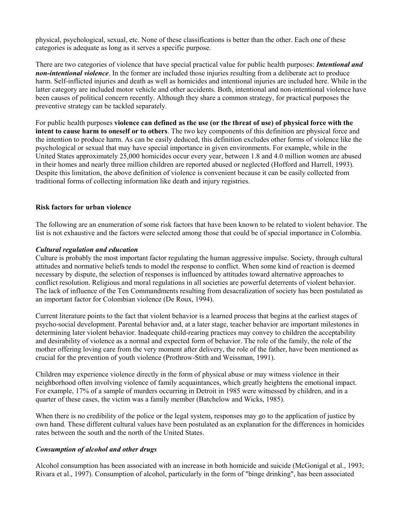physical, psychological, sexual, etc. None of these classifications is better than the other. Each one of these categories is adequate as long as it serves a specific purpose.

There are two categories of violence that have special practical value for public health purposes: *Intentional and non-intentional violence*. In the former are included those injuries resulting from a deliberate act to produce harm. Self-inflicted injuries and death as well as homicides and intentional injuries are included here. While in the latter category are included motor vehicle and other accidents. Both, intentional and non-intentional violence have been causes of political concern recently. Although they share a common strategy, for practical purposes the preventive strategy can be tackled separately.

For public health purposes **violence can defined as the use (or the threat of use) of physical force with the intent to cause harm to oneself or to others**. The two key components of this definition are physical force and the intention to produce harm. As can be easily deduced, this definition excludes other forms of violence like the psychological or sexual that may have special importance in given environments. For example, while in the United States approximately 25,000 homicides occur every year, between 1.8 and 4.0 million women are abused in their homes and nearly three million children are reported abused or neglected (Hofford and Harrell, 1993). Despite this limitation, the above definition of violence is convenient because it can be easily collected from traditional forms of collecting information like death and injury registries.

### **Risk factors for urban violence**

The following are an enumeration of some risk factors that have been known to be related to violent behavior. The list is not exhaustive and the factors were selected among those that could be of special importance in Colombia.

### *Cultural regulation and education*

Culture is probably the most important factor regulating the human aggressive impulse. Society, through cultural attitudes and normative beliefs tends to model the response to conflict. When some kind of reaction is deemed necessary by dispute, the selection of responses is influenced by attitudes toward alternative approaches to conflict resolution. Religious and moral regulations in all societies are powerful deterrents of violent behavior. The lack of influence of the Ten Commandments resulting from desacralization of society has been postulated as an important factor for Colombian violence (De Roux, 1994).

Current literature points to the fact that violent behavior is a learned process that begins at the earliest stages of psycho-social development. Parental behavior and, at a later stage, teacher behavior are important milestones in determining later violent behavior. Inadequate child-rearing practices may convey to children the acceptability and desirability of violence as a normal and expected form of behavior. The role of the family, the role of the mother offering loving care from the very moment after delivery, the role of the father, have been mentioned as crucial for the prevention of youth violence (Prothrow-Stith and Weissman, 1991).

Children may experience violence directly in the form of physical abuse or may witness violence in their neighborhood often involving violence of family acquaintances, which greatly heightens the emotional impact. For example, 17% of a sample of murders occurring in Detroit in 1985 were witnessed by children, and in a quarter of these cases, the victim was a family member (Batchelow and Wicks, 1985).

When there is no credibility of the police or the legal system, responses may go to the application of justice by own hand. These different cultural values have been postulated as an explanation for the differences in homicides rates between the south and the north of the United States.

#### *Consumption of alcohol and other drugs*

Alcohol consumption has been associated with an increase in both homicide and suicide (McGonigal et al., 1993; Rivara et al., 1997). Consumption of alcohol, particularly in the form of "binge drinking", has been associated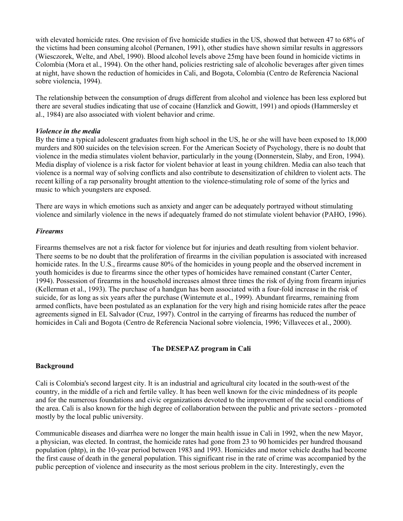with elevated homicide rates. One revision of five homicide studies in the US, showed that between 47 to 68% of the victims had been consuming alcohol (Pernanen, 1991), other studies have shown similar results in aggressors (Wiesczorek, Welte, and Abel, 1990). Blood alcohol levels above 25mg have been found in homicide victims in Colombia (Mora et al., 1994). On the other hand, policies restricting sale of alcoholic beverages after given times at night, have shown the reduction of homicides in Cali, and Bogota, Colombia (Centro de Referencia Nacional sobre violencia, 1994).

The relationship between the consumption of drugs different from alcohol and violence has been less explored but there are several studies indicating that use of cocaine (Hanzlick and Gowitt, 1991) and opiods (Hammersley et al., 1984) are also associated with violent behavior and crime.

#### *Violence in the media*

By the time a typical adolescent graduates from high school in the US, he or she will have been exposed to 18,000 murders and 800 suicides on the television screen. For the American Society of Psychology, there is no doubt that violence in the media stimulates violent behavior, particularly in the young (Donnerstein, Slaby, and Eron, 1994). Media display of violence is a risk factor for violent behavior at least in young children. Media can also teach that violence is a normal way of solving conflicts and also contribute to desensitization of children to violent acts. The recent killing of a rap personality brought attention to the violence-stimulating role of some of the lyrics and music to which youngsters are exposed.

There are ways in which emotions such as anxiety and anger can be adequately portrayed without stimulating violence and similarly violence in the news if adequately framed do not stimulate violent behavior (PAHO, 1996).

#### *Firearms*

Firearms themselves are not a risk factor for violence but for injuries and death resulting from violent behavior. There seems to be no doubt that the proliferation of firearms in the civilian population is associated with increased homicide rates. In the U.S., firearms cause 80% of the homicides in young people and the observed increment in youth homicides is due to firearms since the other types of homicides have remained constant (Carter Center, 1994). Possession of firearms in the household increases almost three times the risk of dying from firearm injuries (Kellerman et al., 1993). The purchase of a handgun has been associated with a four-fold increase in the risk of suicide, for as long as six years after the purchase (Wintemute et al., 1999). Abundant firearms, remaining from armed conflicts, have been postulated as an explanation for the very high and rising homicide rates after the peace agreements signed in EL Salvador (Cruz, 1997). Control in the carrying of firearms has reduced the number of homicides in Cali and Bogota (Centro de Referencia Nacional sobre violencia, 1996; Villaveces et al., 2000).

#### **The DESEPAZ program in Cali**

#### **Background**

Cali is Colombia's second largest city. It is an industrial and agricultural city located in the south-west of the country, in the middle of a rich and fertile valley. It has been well known for the civic mindedness of its people and for the numerous foundations and civic organizations devoted to the improvement of the social conditions of the area. Cali is also known for the high degree of collaboration between the public and private sectors - promoted mostly by the local public university.

Communicable diseases and diarrhea were no longer the main health issue in Cali in 1992, when the new Mayor, a physician, was elected. In contrast, the homicide rates had gone from 23 to 90 homicides per hundred thousand population (phtp), in the 10-year period between 1983 and 1993. Homicides and motor vehicle deaths had become the first cause of death in the general population. This significant rise in the rate of crime was accompanied by the public perception of violence and insecurity as the most serious problem in the city. Interestingly, even the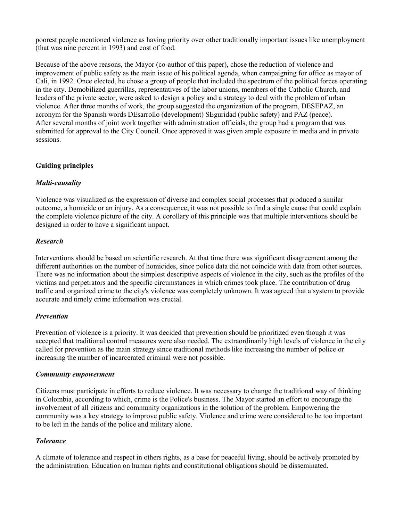poorest people mentioned violence as having priority over other traditionally important issues like unemployment (that was nine percent in 1993) and cost of food.

Because of the above reasons, the Mayor (co-author of this paper), chose the reduction of violence and improvement of public safety as the main issue of his political agenda, when campaigning for office as mayor of Cali, in 1992. Once elected, he chose a group of people that included the spectrum of the political forces operating in the city. Demobilized guerrillas, representatives of the labor unions, members of the Catholic Church, and leaders of the private sector, were asked to design a policy and a strategy to deal with the problem of urban violence. After three months of work, the group suggested the organization of the program, DESEPAZ, an acronym for the Spanish words DEsarrollo (development) SEguridad (public safety) and PAZ (peace). After several months of joint work together with administration officials, the group had a program that was submitted for approval to the City Council. Once approved it was given ample exposure in media and in private sessions.

# **Guiding principles**

# *Multi-causality*

Violence was visualized as the expression of diverse and complex social processes that produced a similar outcome, a homicide or an injury. As a consequence, it was not possible to find a single cause that could explain the complete violence picture of the city. A corollary of this principle was that multiple interventions should be designed in order to have a significant impact.

### *Research*

Interventions should be based on scientific research. At that time there was significant disagreement among the different authorities on the number of homicides, since police data did not coincide with data from other sources. There was no information about the simplest descriptive aspects of violence in the city, such as the profiles of the victims and perpetrators and the specific circumstances in which crimes took place. The contribution of drug traffic and organized crime to the city's violence was completely unknown. It was agreed that a system to provide accurate and timely crime information was crucial.

#### *Prevention*

Prevention of violence is a priority. It was decided that prevention should be prioritized even though it was accepted that traditional control measures were also needed. The extraordinarily high levels of violence in the city called for prevention as the main strategy since traditional methods like increasing the number of police or increasing the number of incarcerated criminal were not possible.

#### *Community empowerment*

Citizens must participate in efforts to reduce violence. It was necessary to change the traditional way of thinking in Colombia, according to which, crime is the Police's business. The Mayor started an effort to encourage the involvement of all citizens and community organizations in the solution of the problem. Empowering the community was a key strategy to improve public safety. Violence and crime were considered to be too important to be left in the hands of the police and military alone.

# *Tolerance*

A climate of tolerance and respect in others rights, as a base for peaceful living, should be actively promoted by the administration. Education on human rights and constitutional obligations should be disseminated.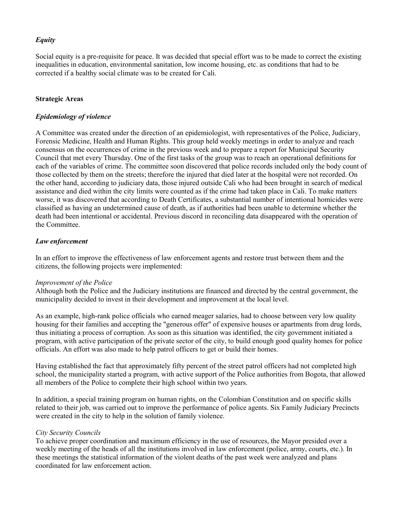# *Equity*

Social equity is a pre-requisite for peace. It was decided that special effort was to be made to correct the existing inequalities in education, environmental sanitation, low income housing, etc. as conditions that had to be corrected if a healthy social climate was to be created for Cali.

#### **Strategic Areas**

#### *Epidemiology of violence*

A Committee was created under the direction of an epidemiologist, with representatives of the Police, Judiciary, Forensic Medicine, Health and Human Rights. This group held weekly meetings in order to analyze and reach consensus on the occurrences of crime in the previous week and to prepare a report for Municipal Security Council that met every Thursday. One of the first tasks of the group was to reach an operational definitions for each of the variables of crime. The committee soon discovered that police records included only the body count of those collected by them on the streets; therefore the injured that died later at the hospital were not recorded. On the other hand, according to judiciary data, those injured outside Cali who had been brought in search of medical assistance and died within the city limits were counted as if the crime had taken place in Cali. To make matters worse, it was discovered that according to Death Certificates, a substantial number of intentional homicides were classified as having an undetermined cause of death, as if authorities had been unable to determine whether the death had been intentional or accidental. Previous discord in reconciling data disappeared with the operation of the Committee.

#### *Law enforcement*

In an effort to improve the effectiveness of law enforcement agents and restore trust between them and the citizens, the following projects were implemented:

#### *Improvement of the Police*

Although both the Police and the Judiciary institutions are financed and directed by the central government, the municipality decided to invest in their development and improvement at the local level.

As an example, high-rank police officials who earned meager salaries, had to choose between very low quality housing for their families and accepting the "generous offer" of expensive houses or apartments from drug lords, thus initiating a process of corruption. As soon as this situation was identified, the city government initiated a program, with active participation of the private sector of the city, to build enough good quality homes for police officials. An effort was also made to help patrol officers to get or build their homes.

Having established the fact that approximately fifty percent of the street patrol officers had not completed high school, the municipality started a program, with active support of the Police authorities from Bogota, that allowed all members of the Police to complete their high school within two years.

In addition, a special training program on human rights, on the Colombian Constitution and on specific skills related to their job, was carried out to improve the performance of police agents. Six Family Judiciary Precincts were created in the city to help in the solution of family violence.

#### *City Security Councils*

To achieve proper coordination and maximum efficiency in the use of resources, the Mayor presided over a weekly meeting of the heads of all the institutions involved in law enforcement (police, army, courts, etc.). In these meetings the statistical information of the violent deaths of the past week were analyzed and plans coordinated for law enforcement action.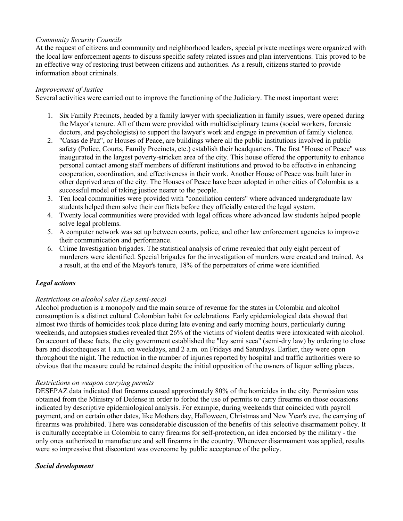### *Community Security Councils*

At the request of citizens and community and neighborhood leaders, special private meetings were organized with the local law enforcement agents to discuss specific safety related issues and plan interventions. This proved to be an effective way of restoring trust between citizens and authorities. As a result, citizens started to provide information about criminals.

#### *Improvement of Justice*

Several activities were carried out to improve the functioning of the Judiciary. The most important were:

- 1. Six Family Precincts, headed by a family lawyer with specialization in family issues, were opened during the Mayor's tenure. All of them were provided with multidisciplinary teams (social workers, forensic doctors, and psychologists) to support the lawyer's work and engage in prevention of family violence.
- 2. "Casas de Paz", or Houses of Peace, are buildings where all the public institutions involved in public safety (Police, Courts, Family Precincts, etc.) establish their headquarters. The first "House of Peace" was inaugurated in the largest poverty-stricken area of the city. This house offered the opportunity to enhance personal contact among staff members of different institutions and proved to be effective in enhancing cooperation, coordination, and effectiveness in their work. Another House of Peace was built later in other deprived area of the city. The Houses of Peace have been adopted in other cities of Colombia as a successful model of taking justice nearer to the people.
- 3. Ten local communities were provided with "conciliation centers" where advanced undergraduate law students helped them solve their conflicts before they officially entered the legal system.
- 4. Twenty local communities were provided with legal offices where advanced law students helped people solve legal problems.
- 5. A computer network was set up between courts, police, and other law enforcement agencies to improve their communication and performance.
- 6. Crime Investigation brigades. The statistical analysis of crime revealed that only eight percent of murderers were identified. Special brigades for the investigation of murders were created and trained. As a result, at the end of the Mayor's tenure, 18% of the perpetrators of crime were identified.

# *Legal actions*

#### *Restrictions on alcohol sales (Ley semi-seca)*

Alcohol production is a monopoly and the main source of revenue for the states in Colombia and alcohol consumption is a distinct cultural Colombian habit for celebrations. Early epidemiological data showed that almost two thirds of homicides took place during late evening and early morning hours, particularly during weekends, and autopsies studies revealed that 26% of the victims of violent deaths were intoxicated with alcohol. On account of these facts, the city government established the "ley semi seca" (semi-dry law) by ordering to close bars and discotheques at 1 a.m. on weekdays, and 2 a.m. on Fridays and Saturdays. Earlier, they were open throughout the night. The reduction in the number of injuries reported by hospital and traffic authorities were so obvious that the measure could be retained despite the initial opposition of the owners of liquor selling places.

#### *Restrictions on weapon carrying permits*

DESEPAZ data indicated that firearms caused approximately 80% of the homicides in the city. Permission was obtained from the Ministry of Defense in order to forbid the use of permits to carry firearms on those occasions indicated by descriptive epidemiological analysis. For example, during weekends that coincided with payroll payment, and on certain other dates, like Mothers day, Halloween, Christmas and New Year's eve, the carrying of firearms was prohibited. There was considerable discussion of the benefits of this selective disarmament policy. It is culturally acceptable in Colombia to carry firearms for self-protection, an idea endorsed by the military - the only ones authorized to manufacture and sell firearms in the country. Whenever disarmament was applied, results were so impressive that discontent was overcome by public acceptance of the policy.

#### *Social development*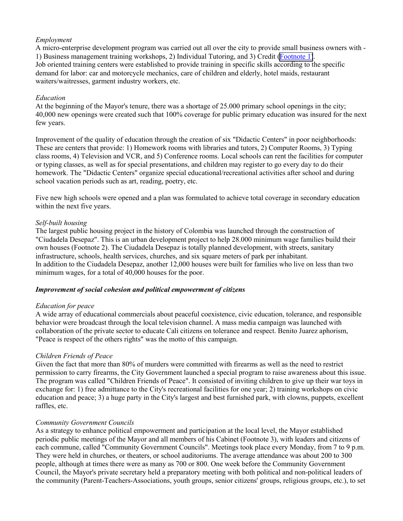### *Employment*

A micro-enterprise development program was carried out all over the city to provide small business owners with - 1) Business management training workshops, 2) Individual Tutoring, and 3) Credit [\(Footnote 1\)](http://www.jhpdc.unc.edu/Journal41/#Foot1). Job oriented training centers were established to provide training in specific skills according to the specific demand for labor: car and motorcycle mechanics, care of children and elderly, hotel maids, restaurant waiters/waitresses, garment industry workers, etc.

### *Education*

At the beginning of the Mayor's tenure, there was a shortage of 25.000 primary school openings in the city; 40,000 new openings were created such that 100% coverage for public primary education was insured for the next few years.

Improvement of the quality of education through the creation of six "Didactic Centers" in poor neighborhoods: These are centers that provide: 1) Homework rooms with libraries and tutors, 2) Computer Rooms, 3) Typing class rooms, 4) Television and VCR, and 5) Conference rooms. Local schools can rent the facilities for computer or typing classes, as well as for special presentations, and children may register to go every day to do their homework. The "Didactic Centers" organize special educational/recreational activities after school and during school vacation periods such as art, reading, poetry, etc.

Five new high schools were opened and a plan was formulated to achieve total coverage in secondary education within the next five years.

#### *Self-built housing*

The largest public housing project in the history of Colombia was launched through the construction of "Ciudadela Desepaz". This is an urban development project to help 28.000 minimum wage families build their own houses (Footnote 2). The Ciudadela Desepaz is totally planned development, with streets, sanitary infrastructure, schools, health services, churches, and six square meters of park per inhabitant. In addition to the Ciudadela Desepaz, another 12,000 houses were built for families who live on less than two minimum wages, for a total of 40,000 houses for the poor.

#### *Improvement of social cohesion and political empowerment of citizens*

#### *Education for peace*

A wide array of educational commercials about peaceful coexistence, civic education, tolerance, and responsible behavior were broadcast through the local television channel. A mass media campaign was launched with collaboration of the private sector to educate Cali citizens on tolerance and respect. Benito Juarez aphorism, "Peace is respect of the others rights" was the motto of this campaign.

# *Children Friends of Peace*

Given the fact that more than 80% of murders were committed with firearms as well as the need to restrict permission to carry firearms, the City Government launched a special program to raise awareness about this issue. The program was called "Children Friends of Peace". It consisted of inviting children to give up their war toys in exchange for: 1) free admittance to the City's recreational facilities for one year; 2) training workshops on civic education and peace; 3) a huge party in the City's largest and best furnished park, with clowns, puppets, excellent raffles, etc.

#### *Community Government Councils*

As a strategy to enhance political empowerment and participation at the local level, the Mayor established periodic public meetings of the Mayor and all members of his Cabinet (Footnote 3), with leaders and citizens of each commune, called "Community Government Councils". Meetings took place every Monday, from 7 to 9 p.m. They were held in churches, or theaters, or school auditoriums. The average attendance was about 200 to 300 people, although at times there were as many as 700 or 800. One week before the Community Government Council, the Mayor's private secretary held a preparatory meeting with both political and non-political leaders of the community (Parent-Teachers-Associations, youth groups, senior citizens' groups, religious groups, etc.), to set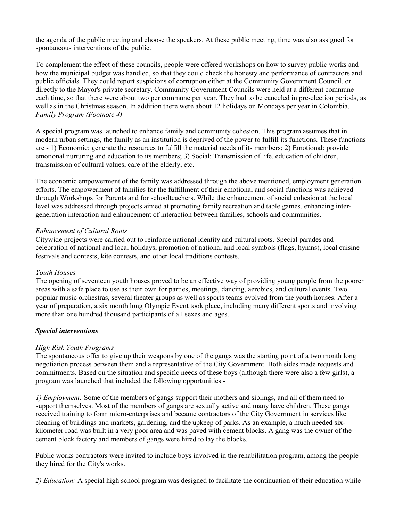the agenda of the public meeting and choose the speakers. At these public meeting, time was also assigned for spontaneous interventions of the public.

To complement the effect of these councils, people were offered workshops on how to survey public works and how the municipal budget was handled, so that they could check the honesty and performance of contractors and public officials. They could report suspicions of corruption either at the Community Government Council, or directly to the Mayor's private secretary. Community Government Councils were held at a different commune each time, so that there were about two per commune per year. They had to be canceled in pre-election periods, as well as in the Christmas season. In addition there were about 12 holidays on Mondays per year in Colombia. *Family Program (Footnote 4)* 

A special program was launched to enhance family and community cohesion. This program assumes that in modern urban settings, the family as an institution is deprived of the power to fulfill its functions. These functions are - 1) Economic: generate the resources to fulfill the material needs of its members; 2) Emotional: provide emotional nurturing and education to its members; 3) Social: Transmission of life, education of children, transmission of cultural values, care of the elderly, etc.

The economic empowerment of the family was addressed through the above mentioned, employment generation efforts. The empowerment of families for the fulfillment of their emotional and social functions was achieved through Workshops for Parents and for schoolteachers. While the enhancement of social cohesion at the local level was addressed through projects aimed at promoting family recreation and table games, enhancing intergeneration interaction and enhancement of interaction between families, schools and communities.

#### *Enhancement of Cultural Roots*

Citywide projects were carried out to reinforce national identity and cultural roots. Special parades and celebration of national and local holidays, promotion of national and local symbols (flags, hymns), local cuisine festivals and contests, kite contests, and other local traditions contests.

#### *Youth Houses*

The opening of seventeen youth houses proved to be an effective way of providing young people from the poorer areas with a safe place to use as their own for parties, meetings, dancing, aerobics, and cultural events. Two popular music orchestras, several theater groups as well as sports teams evolved from the youth houses. After a year of preparation, a six month long Olympic Event took place, including many different sports and involving more than one hundred thousand participants of all sexes and ages.

#### *Special interventions*

#### *High Risk Youth Programs*

The spontaneous offer to give up their weapons by one of the gangs was the starting point of a two month long negotiation process between them and a representative of the City Government. Both sides made requests and commitments. Based on the situation and specific needs of these boys (although there were also a few girls), a program was launched that included the following opportunities -

*1) Employment:* Some of the members of gangs support their mothers and siblings, and all of them need to support themselves. Most of the members of gangs are sexually active and many have children. These gangs received training to form micro-enterprises and became contractors of the City Government in services like cleaning of buildings and markets, gardening, and the upkeep of parks. As an example, a much needed sixkilometer road was built in a very poor area and was paved with cement blocks. A gang was the owner of the cement block factory and members of gangs were hired to lay the blocks.

Public works contractors were invited to include boys involved in the rehabilitation program, among the people they hired for the City's works.

*2) Education:* A special high school program was designed to facilitate the continuation of their education while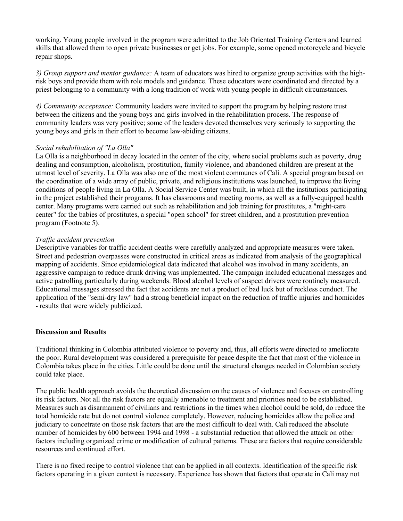working. Young people involved in the program were admitted to the Job Oriented Training Centers and learned skills that allowed them to open private businesses or get jobs. For example, some opened motorcycle and bicycle repair shops.

*3) Group support and mentor guidance:* A team of educators was hired to organize group activities with the highrisk boys and provide them with role models and guidance. These educators were coordinated and directed by a priest belonging to a community with a long tradition of work with young people in difficult circumstances.

*4) Community acceptance:* Community leaders were invited to support the program by helping restore trust between the citizens and the young boys and girls involved in the rehabilitation process. The response of community leaders was very positive; some of the leaders devoted themselves very seriously to supporting the young boys and girls in their effort to become law-abiding citizens.

#### *Social rehabilitation of "La Olla"*

La Olla is a neighborhood in decay located in the center of the city, where social problems such as poverty, drug dealing and consumption, alcoholism, prostitution, family violence, and abandoned children are present at the utmost level of severity. La Olla was also one of the most violent communes of Cali. A special program based on the coordination of a wide array of public, private, and religious institutions was launched, to improve the living conditions of people living in La Olla. A Social Service Center was built, in which all the institutions participating in the project established their programs. It has classrooms and meeting rooms, as well as a fully-equipped health center. Many programs were carried out such as rehabilitation and job training for prostitutes, a "night-care center" for the babies of prostitutes, a special "open school" for street children, and a prostitution prevention program (Footnote 5).

### *Traffic accident prevention*

Descriptive variables for traffic accident deaths were carefully analyzed and appropriate measures were taken. Street and pedestrian overpasses were constructed in critical areas as indicated from analysis of the geographical mapping of accidents. Since epidemiological data indicated that alcohol was involved in many accidents, an aggressive campaign to reduce drunk driving was implemented. The campaign included educational messages and active patrolling particularly during weekends. Blood alcohol levels of suspect drivers were routinely measured. Educational messages stressed the fact that accidents are not a product of bad luck but of reckless conduct. The application of the "semi-dry law" had a strong beneficial impact on the reduction of traffic injuries and homicides - results that were widely publicized.

#### **Discussion and Results**

Traditional thinking in Colombia attributed violence to poverty and, thus, all efforts were directed to ameliorate the poor. Rural development was considered a prerequisite for peace despite the fact that most of the violence in Colombia takes place in the cities. Little could be done until the structural changes needed in Colombian society could take place.

The public health approach avoids the theoretical discussion on the causes of violence and focuses on controlling its risk factors. Not all the risk factors are equally amenable to treatment and priorities need to be established. Measures such as disarmament of civilians and restrictions in the times when alcohol could be sold, do reduce the total homicide rate but do not control violence completely. However, reducing homicides allow the police and judiciary to concetrate on those risk factors that are the most difficult to deal with. Cali reduced the absolute number of homicides by 600 between 1994 and 1998 - a substantial reduction that allowed the attack on other factors including organized crime or modification of cultural patterns. These are factors that require considerable resources and continued effort.

There is no fixed recipe to control violence that can be applied in all contexts. Identification of the specific risk factors operating in a given context is necessary. Experience has shown that factors that operate in Cali may not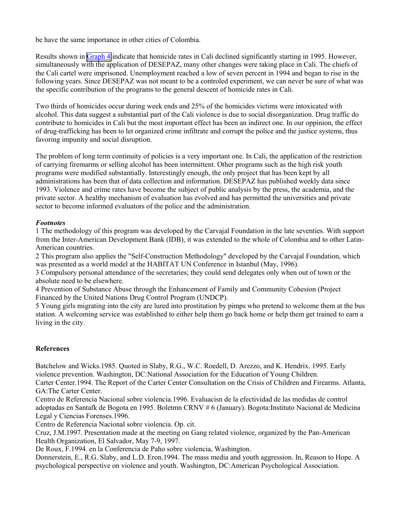be have the same importance in other cities of Colombia.

Results shown in [Graph 4](http://www.jhpdc.unc.edu/Journal41/rggph4.htm) indicate that homicide rates in Cali declined significantly starting in 1995. However, simultaneously with the application of DESEPAZ, many other changes were taking place in Cali. The chiefs of the Cali cartel were imprisoned. Unemployment reached a low of seven percent in 1994 and began to rise in the following years. Since DESEPAZ was not meant to be a controled experiment, we can never be sure of what was the specific contribution of the programs to the general descent of homicide rates in Cali.

Two thirds of homicides occur during week ends and 25% of the homicides victims were intoxicated with alcohol. This data suggest a substantial part of the Cali violence is due to social disorganization. Drug traffic do contribute to homicides in Cali but the most important effect has been an indirect one. In our oppinion, the effect of drug-trafficking has been to let organized crime infiltrate and corrupt the police and the justice systems, thus favoring impunity and social disruption.

The problem of long term continuity of policies is a very important one. In Cali, the application of the restriction of carrying firemarms or selling alcohol has been intermittent. Other programs such as the high risk youth programs were modified substantially. Interestingly enough, the only project that has been kept by all administrations has been that of data collection and information. DESEPAZ has published weekly data since 1993. Violence and crime rates have become the subject of public analysis by the press, the academia, and the private sector. A healthy mechanism of evaluation has evolved and has permitted the universities and private sector to become informed evaluators of the police and the administration.

### *Footnotes*

1 The methodology of this program was developed by the Carvajal Foundation in the late seventies. With support from the Inter-American Development Bank (IDB), it was extended to the whole of Colombia and to other Latin-American countries.

2 This program also applies the "Self-Construction Methodology" developed by the Carvajal Foundation, which was presented as a world model at the HABITAT UN Conference in Istanbul (May, 1996).

3 Compulsory personal attendance of the secretaries; they could send delegates only when out of town or the absolute need to be elsewhere.

4 Prevention of Substance Abuse through the Enhancement of Family and Community Cohesion (Project Financed by the United Nations Drug Control Program (UNDCP).

5 Young girls migrating into the city are lured into prostitution by pimps who pretend to welcome them at the bus station. A welcoming service was established to either help them go back home or help them get trained to earn a living in the city.

# **References**

Batchelow and Wicks.1985. Quoted in Slaby, R.G., W.C. Roedell, D. Arezzo, and K. Hendrix. 1995. Early violence prevention. Washington, DC:National Association for the Education of Young Children.

Carter Center.1994. The Report of the Carter Center Consultation on the Crisis of Children and Firearms. Atlanta, GA:The Carter Center.

Centro de Referencia Nacional sobre violencia.1996. Evaluacisn de la efectividad de las medidas de control adoptadas en Santafk de Bogota en 1995. Boletmn CRNV # 6 (January). Bogota:Instituto Nacional de Medicina Legal y Ciencias Forenses.1996.

Centro de Referencia Nacional sobre violencia. Op. cit.

Cruz, J.M.1997. Presentation made at the meeting on Gang related violence, organized by the Pan-American Health Organization, El Salvador, May 7-9, 1997.

De Roux, F.1994. en la Conferencia de Paho sobre violencia, Washington.

Donnerstein, E., R.G. Slaby, and L.D. Eron.1994. The mass media and youth aggression. In, Reason to Hope. A psychological perspective on violence and youth. Washington, DC:American Psychological Association.